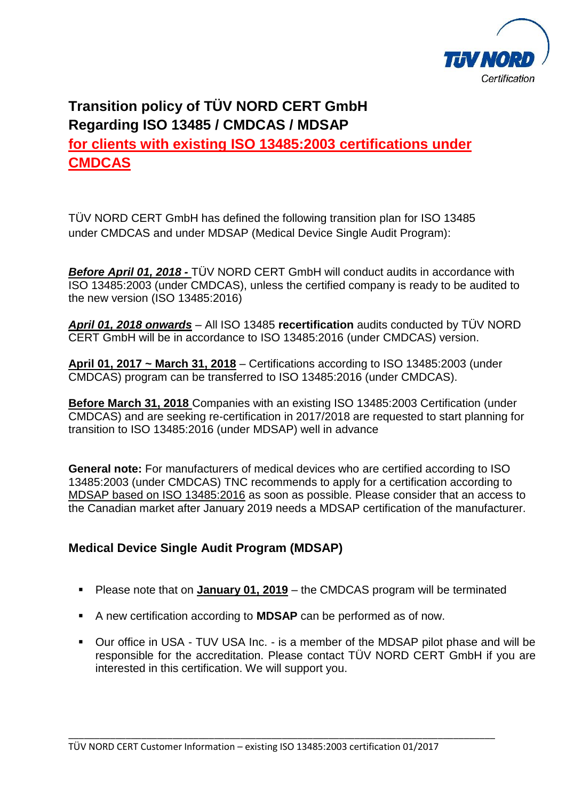

# **Transition policy of TÜV NORD CERT GmbH Regarding ISO 13485 / CMDCAS / MDSAP for clients with existing ISO 13485:2003 certifications under CMDCAS**

TÜV NORD CERT GmbH has defined the following transition plan for ISO 13485 under CMDCAS and under MDSAP (Medical Device Single Audit Program):

*Before April 01, 2018 -* TÜV NORD CERT GmbH will conduct audits in accordance with ISO 13485:2003 (under CMDCAS), unless the certified company is ready to be audited to the new version (ISO 13485:2016)

*April 01, 2018 onwards* – All ISO 13485 **recertification** audits conducted by TÜV NORD CERT GmbH will be in accordance to ISO 13485:2016 (under CMDCAS) version.

**April 01, 2017 ~ March 31, 2018** – Certifications according to ISO 13485:2003 (under CMDCAS) program can be transferred to ISO 13485:2016 (under CMDCAS).

**Before March 31, 2018** Companies with an existing ISO 13485:2003 Certification (under CMDCAS) and are seeking re-certification in 2017/2018 are requested to start planning for transition to ISO 13485:2016 (under MDSAP) well in advance

**General note:** For manufacturers of medical devices who are certified according to ISO 13485:2003 (under CMDCAS) TNC recommends to apply for a certification according to MDSAP based on ISO 13485:2016 as soon as possible. Please consider that an access to the Canadian market after January 2019 needs a MDSAP certification of the manufacturer.

# **Medical Device Single Audit Program (MDSAP)**

- Please note that on **January 01, 2019** the CMDCAS program will be terminated
- A new certification according to **MDSAP** can be performed as of now.
- Our office in USA TUV USA Inc. is a member of the MDSAP pilot phase and will be responsible for the accreditation. Please contact TÜV NORD CERT GmbH if you are interested in this certification. We will support you.

\_\_\_\_\_\_\_\_\_\_\_\_\_\_\_\_\_\_\_\_\_\_\_\_\_\_\_\_\_\_\_\_\_\_\_\_\_\_\_\_\_\_\_\_\_\_\_\_\_\_\_\_\_\_\_\_\_\_\_\_\_\_\_\_\_\_\_\_\_\_\_\_\_\_\_\_\_\_\_\_\_\_